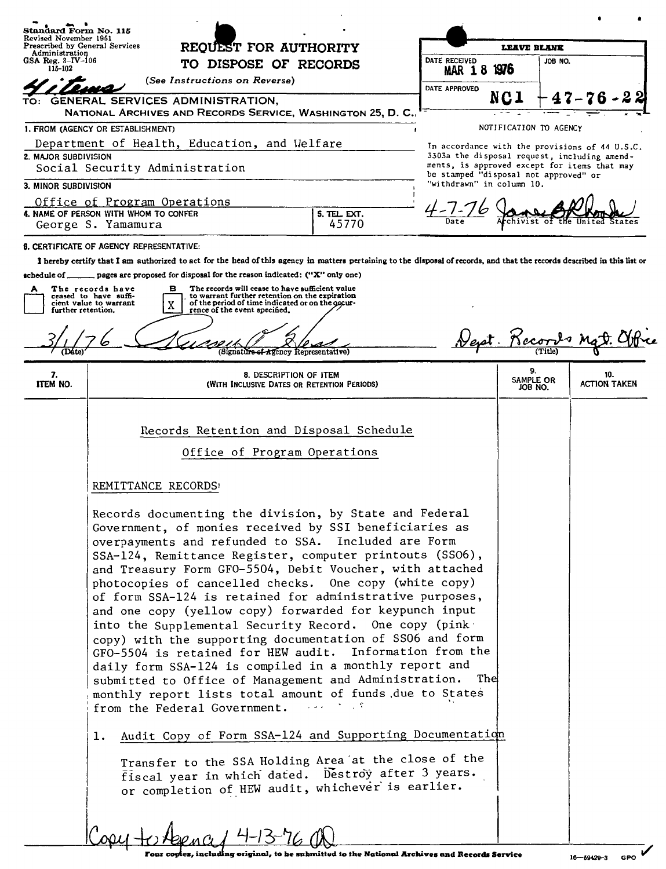| Standard Form No. 115                                                                                     |                                                                                                                                                                                                         |                                                          |                                                                    |                        |         |                                                |  |
|-----------------------------------------------------------------------------------------------------------|---------------------------------------------------------------------------------------------------------------------------------------------------------------------------------------------------------|----------------------------------------------------------|--------------------------------------------------------------------|------------------------|---------|------------------------------------------------|--|
| Revised November 1951<br>Prescribed by General Services<br><b>REQUEST FOR AUTHORITY</b><br>Administration |                                                                                                                                                                                                         | <b>LEAVE BLANK</b>                                       |                                                                    |                        |         |                                                |  |
| GSA Reg. $3-\text{IV}-106$<br>115-102                                                                     | TO DISPOSE OF RECORDS                                                                                                                                                                                   |                                                          | DATE RECEIVED<br><b>MAR 18</b>                                     | 1976                   | JOB NO. |                                                |  |
|                                                                                                           | (See Instructions on Reverse)                                                                                                                                                                           |                                                          |                                                                    |                        |         |                                                |  |
| TO:                                                                                                       | GENERAL SERVICES ADMINISTRATION,                                                                                                                                                                        |                                                          | DATE APPROVED                                                      |                        |         |                                                |  |
|                                                                                                           | NATIONAL ARCHIVES AND RECORDS SERVICE, WASHINGTON 25, D.C.                                                                                                                                              |                                                          |                                                                    |                        |         |                                                |  |
|                                                                                                           | 1. FROM (AGENCY OR ESTABLISHMENT)                                                                                                                                                                       |                                                          |                                                                    | NOTIFICATION TO AGENCY |         |                                                |  |
|                                                                                                           | Department of Health, Education, and Welfare                                                                                                                                                            |                                                          |                                                                    |                        |         | In accordance with the provisions of 44 U.S.C. |  |
| 2. MAJOR SUBDIVISION                                                                                      | Social Security Administration                                                                                                                                                                          |                                                          | 3303a the disposal request, including amend-                       |                        |         | ments, is approved except for items that may   |  |
| 3. MINOR SUBDIVISION                                                                                      |                                                                                                                                                                                                         |                                                          | be stamped "disposal not approved" or<br>"withdrawn" in column 10. |                        |         |                                                |  |
|                                                                                                           | Office of Program Operations                                                                                                                                                                            |                                                          |                                                                    |                        |         |                                                |  |
|                                                                                                           | 4. NAME OF PERSON WITH WHOM TO CONFER                                                                                                                                                                   | 5. TEL. EXT.                                             |                                                                    |                        |         |                                                |  |
|                                                                                                           | George S. Yamamura                                                                                                                                                                                      | 45770                                                    |                                                                    |                        |         |                                                |  |
|                                                                                                           | <b>6. CERTIFICATE OF AGENCY REPRESENTATIVE:</b>                                                                                                                                                         |                                                          |                                                                    |                        |         |                                                |  |
|                                                                                                           | I hereby certify that I am authorized to act for the head of this agency in matters pertaining to the disposal of records, and that the records described in this list or                               |                                                          |                                                                    |                        |         |                                                |  |
| schedule of $\mathbf -$                                                                                   | $\ldots$ pages are proposed for disposal for the reason indicated: ("X" only one)                                                                                                                       |                                                          |                                                                    |                        |         |                                                |  |
| A                                                                                                         | The records have<br>The records will cease to have sufficient value<br>в<br>ceased to have suffi-<br>to warrant further retention on the expiration<br>of the period of time indicated or on the occur- |                                                          |                                                                    |                        |         |                                                |  |
|                                                                                                           | cient value to warrant<br>X<br>further retention.<br>rence of the event specified,                                                                                                                      |                                                          |                                                                    |                        |         |                                                |  |
|                                                                                                           |                                                                                                                                                                                                         |                                                          |                                                                    |                        |         |                                                |  |
| (Dáte)                                                                                                    | gnature of Agency Representative)                                                                                                                                                                       |                                                          |                                                                    | Dept. Kecords M        |         |                                                |  |
|                                                                                                           |                                                                                                                                                                                                         |                                                          |                                                                    | 9.                     |         |                                                |  |
| 7.<br>ITEM NO.                                                                                            | 8. DESCRIPTION OF ITEM<br>(WITH INCLUSIVE DATES OR RETENTION PERIODS)                                                                                                                                   |                                                          |                                                                    | SAMPLE OR<br>JOB NO.   |         | 10.<br><b>ACTION TAKEN</b>                     |  |
|                                                                                                           |                                                                                                                                                                                                         |                                                          |                                                                    |                        |         |                                                |  |
|                                                                                                           |                                                                                                                                                                                                         |                                                          |                                                                    |                        |         |                                                |  |
|                                                                                                           | Records Retention and Disposal Schedule                                                                                                                                                                 |                                                          |                                                                    |                        |         |                                                |  |
|                                                                                                           | Office of Program Operations                                                                                                                                                                            |                                                          |                                                                    |                        |         |                                                |  |
|                                                                                                           |                                                                                                                                                                                                         |                                                          |                                                                    |                        |         |                                                |  |
|                                                                                                           | REMITTANCE RECORDS                                                                                                                                                                                      |                                                          |                                                                    |                        |         |                                                |  |
|                                                                                                           |                                                                                                                                                                                                         |                                                          |                                                                    |                        |         |                                                |  |
|                                                                                                           | Records documenting the division, by State and Federal                                                                                                                                                  |                                                          |                                                                    |                        |         |                                                |  |
|                                                                                                           | Government, of monies received by SSI beneficiaries as                                                                                                                                                  |                                                          |                                                                    |                        |         |                                                |  |
|                                                                                                           | overpayments and refunded to SSA. Included are Form                                                                                                                                                     |                                                          |                                                                    |                        |         |                                                |  |
|                                                                                                           | SSA-124, Remittance Register, computer printouts (SSO6),<br>and Treasury Form GF0-5504, Debit Voucher, with attached                                                                                    |                                                          |                                                                    |                        |         |                                                |  |
|                                                                                                           | photocopies of cancelled checks. One copy (white copy)                                                                                                                                                  |                                                          |                                                                    |                        |         |                                                |  |
|                                                                                                           | of form SSA-124 is retained for administrative purposes,                                                                                                                                                |                                                          |                                                                    |                        |         |                                                |  |
|                                                                                                           | and one copy (yellow copy) forwarded for keypunch input                                                                                                                                                 |                                                          |                                                                    |                        |         |                                                |  |
|                                                                                                           | into the Supplemental Security Record. One copy (pink-                                                                                                                                                  |                                                          |                                                                    |                        |         |                                                |  |
|                                                                                                           | copy) with the supporting documentation of SS06 and form                                                                                                                                                |                                                          |                                                                    |                        |         |                                                |  |
|                                                                                                           |                                                                                                                                                                                                         | GF0-5504 is retained for HEW audit. Information from the |                                                                    |                        |         |                                                |  |
|                                                                                                           | daily form SSA-124 is compiled in a monthly report and<br>submitted to Office of Management and Administration. The                                                                                     |                                                          |                                                                    |                        |         |                                                |  |
|                                                                                                           | monthly report lists total amount of funds due to States                                                                                                                                                |                                                          |                                                                    |                        |         |                                                |  |
|                                                                                                           | from the Federal Government.                                                                                                                                                                            |                                                          |                                                                    |                        |         |                                                |  |
|                                                                                                           | Audit Copy of Form SSA-124 and Supporting Documentation<br>ī.                                                                                                                                           |                                                          |                                                                    |                        |         |                                                |  |
|                                                                                                           |                                                                                                                                                                                                         |                                                          |                                                                    |                        |         |                                                |  |
|                                                                                                           | Transfer to the SSA Holding Area at the close of the                                                                                                                                                    |                                                          |                                                                    |                        |         |                                                |  |
|                                                                                                           | fiscal year in which dated. Destroy after 3 years.<br>or completion of HEW audit, whichever is earlier.                                                                                                 |                                                          |                                                                    |                        |         |                                                |  |
|                                                                                                           |                                                                                                                                                                                                         |                                                          |                                                                    |                        |         |                                                |  |
|                                                                                                           |                                                                                                                                                                                                         |                                                          |                                                                    |                        |         |                                                |  |
|                                                                                                           |                                                                                                                                                                                                         |                                                          |                                                                    |                        |         |                                                |  |
|                                                                                                           |                                                                                                                                                                                                         |                                                          |                                                                    |                        |         |                                                |  |